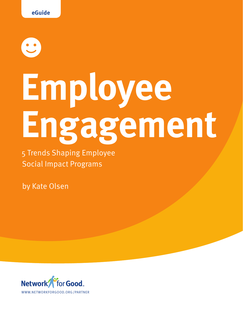# **Employee Engagement**

5 Trends Shaping Employee Social Impact Programs

by Kate Olsen

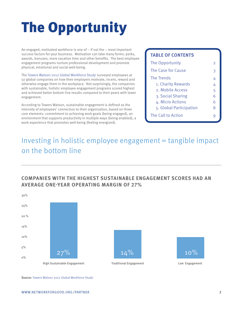# The Opportunity

An engaged, motivated workforce is one of – if not the – most important success factors for your business. Motivation can take many forms: perks, awards, bonuses, more vacation time and other benefits. The best employee engagement programs nurture professional development and promote physical, emotional and social well-being.

The Towers Watson 2012 Global Workforce Study<sup>i</sup> surveyed employees at 50 global companies on how their employers motivate, incent, reward and otherwise engage them in the workplace. Not surprisingly, the companies with sustainable, holistic employee engagement programs scored highest and achieved better bottom line results compared to their peers with lower engagement.

According to Towers Watson, sustainable engagement is defined as the intensity of employees' connection to their organization, based on three core elements: commitment to achieving work goals (being engaged), an environment that supports productivity in multiple ways (being enabled), a work experience that promotes well-being (feeling energized).

#### **TABLE OF CONTENTS**

| The Opportunity         | 2 |
|-------------------------|---|
| The Case for Cause      | З |
| The Trends              | 4 |
| 1. Charity Rewards      | 4 |
| 2. Mobile Access        | 5 |
| 3. Social Sharing       | 6 |
| 4. Micro Actions        | 6 |
| 5. Global Participation | 8 |
| The Call to Action      |   |

## Investing in holistic employee engagement = tangible impact on the bottom line

#### **Companies with the highest sustainable engagement scores had an average one-year operating margin of 27%**



**Source:** [Towers Watson 2012 Global Workforce Studyi](http://www.towerswatson.com/Insights/IC-Types/Survey-Research-Results/2012/07/2012-Towers-Watson-Global-Workforce-Study)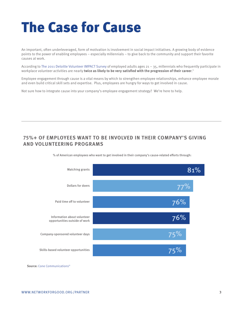## <span id="page-2-0"></span>The Case for Cause

An important, often underleveraged, form of motivation is involvement in social impact initiatives. A growing body of evidence points to the power of enabling employees – especially millennials – to give back to the community and support their favorite causes at work.

According to [The 2011 Deloitte Volunteer IMPACT](http://www.deloitte.com/view/en_US/us/About/Community-Involvement/volunteerism/impact-day/f98eec97e6650310VgnVCM2000001b56f00aRCRD.htm) Survey of employed adults ages 21 – 35, millennials who frequently participate in workplace volunteer activities are nearly **twice as likely to be very satisfied with the progression of their career**. ii

Employee engagement through cause is a vital means by which to strengthen employee relationships, enhance employee morale and even build critical skill sets and expertise. Plus, employees are hungry for ways to get involved in cause.

Not sure how to integrate cause into your company's employee engagement strategy? We're here to help.

#### **75%+ of employees want to be involved in their company's giving and volunteering programs**





**Source:** [Cone Communicationsiii](http://www.conecomm.com/stuff/contentmgr/files/0/6bc819050a7914fc99b99c205493d8bc/files/2010_cone_cause_evolution_study_report.pdf)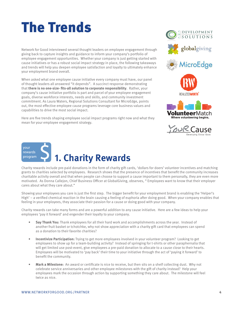# <span id="page-3-0"></span>The Trends

Network for Good interviewed several thought leaders on employee engagement through giving back to capture insights and guidance to inform your company's portfolio of employee engagement opportunities. Whether your company is just getting started with cause initiatives or has a robust social impact strategy in place, the following takeaways and trends will help you deepen employee satisfaction and loyalty to ultimately enhance your employment brand overall.

When asked what one employee cause initiative every company must have, our panel of thought leaders all answered "it depends". A succinct response demonstrating that **there is no one-size- fits-all solution to corporate responsibility**. Rather, your company's cause initiative portfolio is part and parcel of your employee engagement goals, diverse workforce interests, needs and skills, and community investment commitment. As Laura Waters, Regional Solutions Consultant for MicroEdge, points out, the most effective employee cause programs leverage core business values and capabilities to drive the most social impact.

Here are five trends shaping employee social impact programs right now and what they mean for your employee engagement strategy.



Charity rewards include pre-paid donations in the form of charity gift cards, 'dollars for doers' volunteer incentives and matching grants to charities selected by employees. Research shows that the presence of incentives that benefit the community increases charitable activity overall and that when people can choose to support a cause important to them personally, they are even more motivated. As Donna Callejon, Chief Business Officer at GlobalGiving, observes, " Employees want to know that their employer cares about what they care about."

Showing your employees you care is just the first step. The bigger benefit for your employment brand is enabling the 'Helper's High' – a verified chemical reaction in the brain causing a feeling of euphoria after doing good. When your company enables that feeling in your employees, they associate their passion for a cause or doing good with your company.

Charity rewards can take many forms and are a powerful addition to any cause initiative. Here are a few ideas to help your employees 'pay it forward' and engender their loyalty to your company.

- **• Say Thank You:** Thank employees for all their hard work and accomplishments across the year. Instead of another fruit basket or tchotchke, why not show appreciation with a charity gift card that employees can spend as a donation to their favorite charities?
- **• Incentivize Participation:** Trying to get more employees involved in your volunteer program? Looking to get employees to show up for a team-building activity? Instead of springing for t-shirts or other paraphernalia that will get limited use post-event, give employees a pre-paid donation to allocate to a cause close to their hearts. Employees will be motivated to 'pay back' their time to your initiative through the act of 'paying it forward' to benefit the community.
- **• Mark a Milestone:** An award or certificate is nice to receive, but then sits on a shelf collecting dust. Why not celebrate service anniversaries and other employee milestones with the gift of charity instead? Help your employees mark the occasion through action by supporting something they care about. The milestone will feel twice as nice.



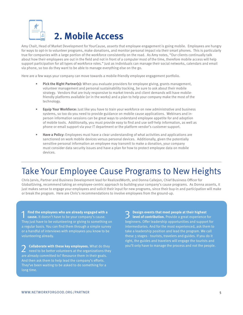<span id="page-4-0"></span>

Amy Chait, Head of Market Development for YourCause, asserts that employee engagement is going mobile. Employees are hungry for ways to opt-in to volunteer programs, make donations, and monitor personal impact via their smart phones. This is particularly true for companies with a large portion of the workforce consistently on the road. As Amy notes, "Our clients continually talk about how their employees are out in the field and not in front of a computer most of the time, therefore mobile access will help support participation for all types of workforce roles." Just as individuals can manage their social networks, calendars and email via phone, so too do they want to be able to manage everything else on the go.

Here are a few ways your company can move towards a mobile-friendly employee engagement portfolio.

- **• Pick the Right Partner(s):** When you evaluate providers for employee giving, grants management, volunteer management and personal sustainability tracking, be sure to ask about their mobile strategy. Vendors that are truly responsive to market trends and client demands will have mobilefriendly platforms available (or in the works) and a plan to help your company make the most of the technology.
- **• Equip Your Workforce:** Just like you have to train your workforce on new administrative and business systems, so too do you need to provide guidance on mobile cause applications. Webinars and inperson information sessions can be great ways to understand employee appetite for and adoption of mobile tools. Additionally, you must provide easy to find and use self-help information, as well as phone or email support via your IT department or the platform vendor's customer support.
- **• Have a Policy:** Employees must have a clear understanding of what activities and applications are sanctioned on work mobile devices versus personal devices. Additionally, given the potentially sensitive personal information an employee may transmit to make a donation, your company must consider data security issues and have a plan for how to protect employee data on mobile devices.

## Take Your Employee Cause Programs to New Heights

Chris Jarvis, Partner and Business Development lead for RealizedWorth, and Donna Callejon, Chief Business Officer for GlobalGiving, recommend taking an employee-centric approach to building your company's cause programs. As Donna asserts, it just makes sense to engage your employees and solicit their input for new programs, since their buy-in and participation will make or break the program. Here are Chris's recommendations to involve employees from the ground-up.

1 **Find the employees who are already engaged with a cause.** It doesn't have to be your company's cause. They just have to be volunteering or giving to something on a regular basis. You can find them through a simple survey or a handful of interviews with employees you know to be volunteering already.

2 **Collaborate with these key employees.** What do they need to be better volunteers at the organizations they are already committed to? Resource them in their goals. And then ask them to help lead the company's efforts. They've been waiting to be asked to do something for a long time.

3 **Design events that meet people at their highest level of contribution.** Provide a great experience for beginners. Offer leadership opportunities and support for intermediaries. And for the most experienced, ask them to take a leadership position and lead the program. We call these 3 stages - tourists, travelers and guides. If you do it right, the guides and travelers will engage the tourists and you'll only have to manage the process and not the people.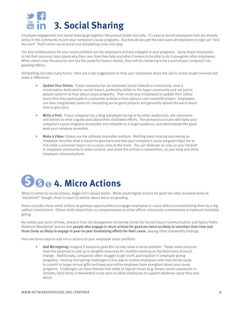<span id="page-5-0"></span>

Employee engagement and social sharing go together like peanut butter and jelly. It's easy to recruit employees that are already active in the community to join your company's cause programs. But how do you get the next wave of employees to sign up? And the next? That's when social proof and storytelling come into play.

The best ambassadors for your cause portfolio are the employees actively engaged in your programs. Equip those employees to tell their personal story about why they care, how they help and what it means to be able to do it alongside other employees. When others hear the passion and see the powerful impact results, they will be clamoring to be a part of your company's dogooding efforts.

Storytelling can take many forms. Here are a few suggestions to help your employees share the call to action to get involved and make a difference:

- **• Update Your Status:** If your company has an employee social network or community, seed a conversation dedicated to social impact, preferably visible to the larger community and not just to people opted-in to hear about cause programs. Then invite your employees to update their status every time they participate in a volunteer activity or hear about a cool nonprofit project. Employees can also congratulate peers on completing social good projects and generally spread the word about how to give back.
- **• Write a Post:** If your company has a blog (employee-facing or for other audiences), ask volunteers and donors to write a guest post about their charitable efforts. The personal accounts will make your company's cause programs accessible and relatable to a larger audience, and demonstrate the good work your company promotes.
- **• Make a Video:** Videos are the ultimate shareable medium. Nothing beats hearing and seeing an employee describe what it means to give back and how your company's cause program helps her or him make a personal impact on a cause close to the heart. You can dedicate an area on your Intranet or employee community to video content, and share the entries in newsletters, on your blog and other employee communications.



When it comes to social actions, bigger isn't always better. While small digital actions for good are often brushed aside as 'slacktivist'<sup> $V$ </sup> slough, there is much to admire about micro do-gooding.

Some consider these small actions as gateway opportunities to engage employees in cause without overwhelming them by a big upfront commitment. Others think about them as complementary to other offline community commitments or habitual charitable giving.

No matter your point of view, research from the [Georgetown University Center for Social Impact Communication and Ogilvy Public](http://csic.georgetown.edu/research/215767.html)  Relations Worldwide<sup>v</sup> proves that **people who engage in micro actions for good are twice as likely to volunteer their time and three times as likely to engage in peer-to-peer fundraising efforts for their cause**, among other noteworthy findings.

Here are three ways to add micro actions to your employee cause portfolio:

**• Add Microgiving:** Imagine if everyone gave \$10 to help solve a social problem. Those small amounts have the potential to add up to tangible resources for charities working on the front lines of social change. Additionally, companies often struggle to get 100% participation in employee giving programs. Hosting mini giving challenges is one way to involve employees who may not be ready to commit to larger annual gifts and keep your entire employee base energized about your cause programs. Challenges can have themes that relate to topical issues (e.g. breast cancer awareness in October, food drives in November) or be open to allow employees to support whatever cause they care about.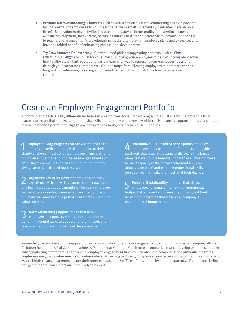- **• Promote Microvolunteering:** Platforms such as RealizedWorth's microvolunteering solution powered by Sparked<sup>vi</sup> allow employees to volunteer their time in small increments (15 minutes, here an hour there). Microvolunteering activities include offering advice to nonprofits on marketing issues or website development, for example, or tagging images and other discrete digital actions that add up to real help for nonprofits. Microvolunteering tasks often draw on employee skills and expertise, and have the added benefit of enhancing professional development.
- **• Try Crowdsourced Philanthropy:** Crowdsourced philanthropy voting contests such as [Chase](https://www.facebook.com/ChaseCommunityGiving)  [Community Givingvii](https://www.facebook.com/ChaseCommunityGiving) aren't just for consumers. Allowing your employees to help your company decide how to allocate philanthropic dollars is a meaningful way to represent your employees' passions through your corporate commitment. Options range from allowing employees to nominate charities for grant consideration, to asking employees to vote on how to distribute funds across a set of charities.

## Create an Employee Engagement Portfolio

A portfolio approach is a key differentiator between an employee social impact program that just checks the box and a truly dynamic program that speaks to the interests, skills and capacity of a diverse workforce. Here are five opportunities you can add to your company's portfolio to engage a wider swath of employees in your cause initiatives:

**1 Employee Giving Program** that allows employees to donate via credit card or payroll deduction to their charity of choice. Traditionally, employee giving programs run on an annual basis, but to increase engagement and enthusiasm companies can create time-bound, themed giving campaigns throughout the year.

**Organized Volunteer Days** that provide a gateway experience with a low time commitment (1 day a year or a few hours every couple months). Not every employee will want to take on big community investment projects, but many will want to feel a part of a corporate culture that values service.

3 **Microvolunteering opportunities** that allow employees to spend 15 minutes to 1 hour of time performing digital tasks to support nonprofit needs and leverage their professional skills at the same time.

**4 Pro Bono/Skills-Based Service** options that allow<br>
employees to take on nonprofit projects alongside paid work that require the same skills set. Skills-based projects have double benefits in that they allow employees to build capacity in the social sector (and feel good about giving back) and enhance professional skills and perspectives that make them better at their day job.

**5 Personal Sustainability** Initiative that allows<br>
employees to manage their own environmental footprint at work and empowers them to suggest (and implement) programs that lessen the company's environmental footprint, too.

Remember, there are even more opportunities to coordinate your employee engagement portfolio with broader company efforts. As Robert Rosenthal, VP of Communications & Marketing at VolunteerMatch notes, companies that co-develop external consumer cause marketing efforts through the lens of employee engagement first often create more compelling and authentic programs. **Employees are your number one brand ambassadors.** According to Robert, "Employee knowledge and participation can go a long way to helping cause marketers ensure their programs pass the 'sniff' test for authenticity and transparency. If employees believe and get on board, consumers are more likely to as well."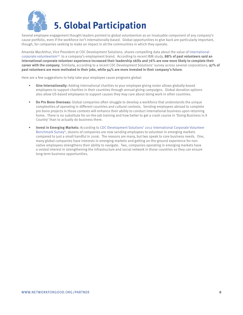<span id="page-7-0"></span>

Several employee engagement thought leaders pointed to global volunteerism as an invaluable component of any company's cause portfolio, even if the workforce isn't internationally-based. Global opportunities to give back are particularly important, though, for companies seeking to make an impact in all the communities in which they operate.

Amanda MacArthur, Vice President at CDC Development Solutions, shares compelling data about the value of [international](http://www.cdcdevelopmentsolutions.org/corporate-volunteerism/)  [corporate volunteerismviii](http://www.cdcdevelopmentsolutions.org/corporate-volunteerism/) to a company's employment brand. According to recent IBM study, **88% of past volunteers said an international corporate volunteer experience increased their leadership skills and 76% are now more likely to complete their career with the company**. Similarly, according to a recent CDC Development Solutions' survey across several corporations, **97% of past volunteers are more motivated in their jobs, while 94% are more invested in their company's future**.

Here are a few suggestions to help take your employee cause programs global:

- **• Give Internationally:** Adding international charities to your employee giving roster allows globally-based employees to support charities in their countries through annual giving campaigns. Global donation options also allow US-based employees to support causes they may care about doing work in other countries.
- **• Do Pro Bono Overseas:** Global companies often struggle to develop a workforce that understands the unique complexities of operating in different countries and cultural contexts. Sending employees abroad to complete pro bono projects in those contexts will enhance their ability to conduct international business upon returning home. There is no substitute for on-the-job training and how better to get a crash course in 'Doing Business in X Country' than to actually do business there.
- **• Invest in Emerging Markets:** According to [CDC Development Solutions' 2012 International Corporate Volunteer](http://cdcdevelopmentsolutions.org/sites/default/files/Benchmarking-Study-2012-Final.pdf)  Benchmark Survey<sup>ix</sup>, dozens of companies are now sending employees to volunteer in emerging markets compared to just a small handful in 2006. The reasons are many, but two speak to core business needs. One, many global companies have interests in emerging markets and getting on-the-ground experience for nonnative employees strengthens their ability to navigate. Two, companies operating in emerging markets have a vested interest in strengthening the infrastructure and social network in those countries so they can ensure long-term business opportunities.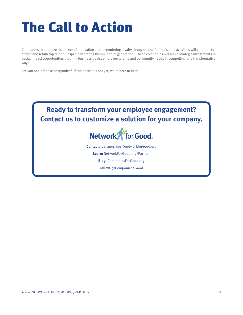# <span id="page-8-0"></span>The Call to Action

Companies that realize the power of motivating and engendering loyalty through a portfolio of cause activities will continue to attract and retain top talent – especially among the millennial generation. These companies will make strategic investments in social impact opportunities that link business goals, employee talents and community needs in compelling and transformative ways.

Are you one of these companies? If the answer is not yet, we're here to help.